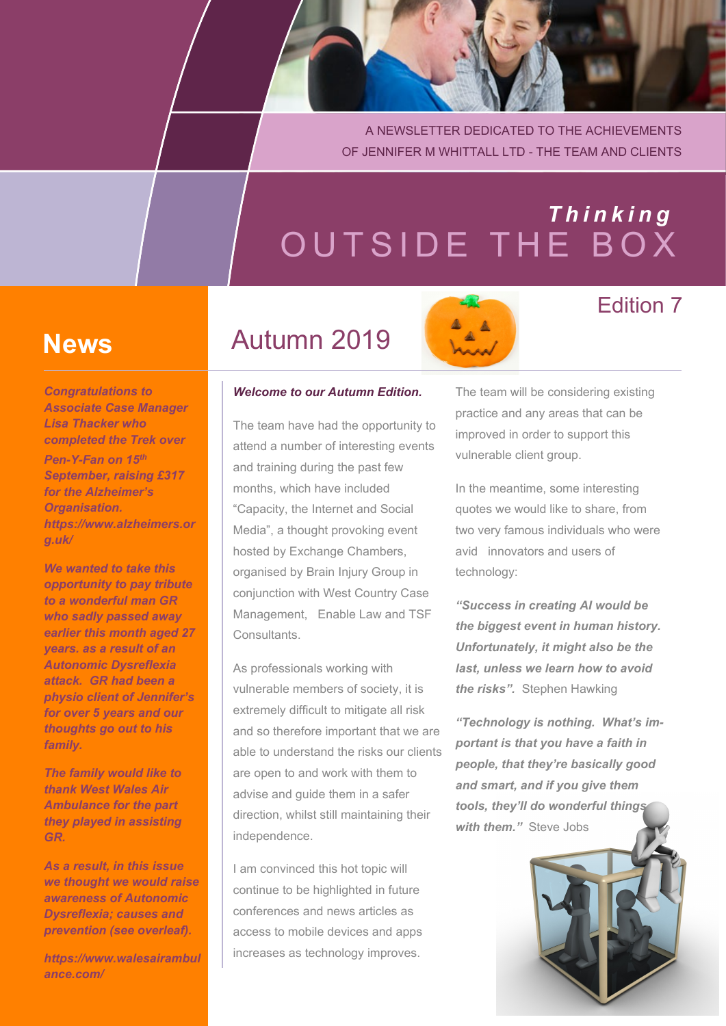A NEWSLETTER DEDICATED TO THE ACHIEVEMENTS OF JENNIFER M WHITTALL LTD - THE TEAM AND CLIENTS

# OUTSIDE THE BOX *T h i n k i n g*

## **News**

*Congratulations to Associate Case Manager Lisa Thacker who completed the Trek over*

*Pen-Y-Fan on 15th September, raising £317 for the Alzheimer's Organisation. https://www.alzheimers.or g.uk/*

*We wanted to take this opportunity to pay tribute to a wonderful man GR who sadly passed away earlier this month aged 27 years. as a result of an Autonomic Dysreflexia attack. GR had been a physio client of Jennifer's for over 5 years and our thoughts go out to his family.*

*The family would like to thank West Wales Air Ambulance for the part they played in assisting GR.*

*As a result, in this issue we thought we would raise awareness of Autonomic Dysreflexia; causes and prevention (see overleaf).*

*https://www.walesairambul ance.com/*

## Autumn 2019

#### *Welcome to our Autumn Edition.*

The team have had the opportunity to attend a number of interesting events and training during the past few months, which have included "Capacity, the Internet and Social Media", a thought provoking event hosted by Exchange Chambers, organised by Brain Injury Group in conjunction with West Country Case Management, Enable Law and TSF Consultants.

As professionals working with vulnerable members of society, it is extremely difficult to mitigate all risk and so therefore important that we are able to understand the risks our clients are open to and work with them to advise and guide them in a safer direction, whilst still maintaining their independence.

I am convinced this hot topic will continue to be highlighted in future conferences and news articles as access to mobile devices and apps increases as technology improves.

The team will be considering existing practice and any areas that can be improved in order to support this vulnerable client group.

Edition 7

In the meantime, some interesting quotes we would like to share, from two very famous individuals who were avid innovators and users of technology:

*"Success in creating AI would be the biggest event in human history. Unfortunately, it might also be the last, unless we learn how to avoid the risks".* Stephen Hawking

*"Technology is nothing. What's important is that you have a faith in people, that they're basically good and smart, and if you give them tools, they'll do wonderful things with them."* Steve Jobs